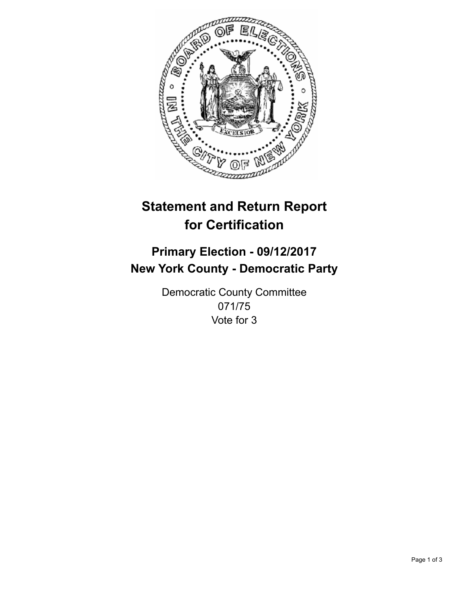

## **Statement and Return Report for Certification**

## **Primary Election - 09/12/2017 New York County - Democratic Party**

Democratic County Committee 071/75 Vote for 3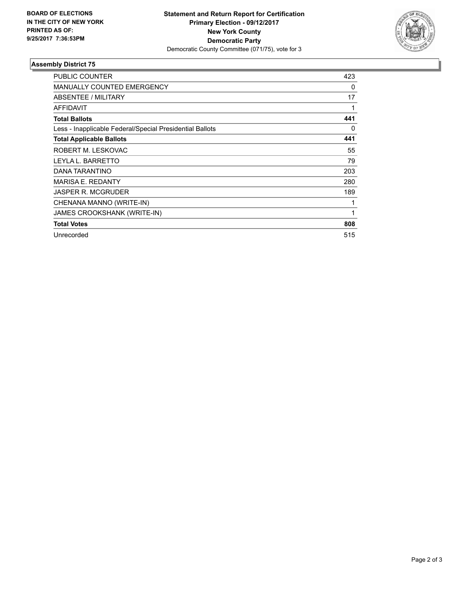

## **Assembly District 75**

| <b>PUBLIC COUNTER</b>                                    | 423 |
|----------------------------------------------------------|-----|
| <b>MANUALLY COUNTED EMERGENCY</b>                        | 0   |
| ABSENTEE / MILITARY                                      | 17  |
| <b>AFFIDAVIT</b>                                         | 1   |
| <b>Total Ballots</b>                                     | 441 |
| Less - Inapplicable Federal/Special Presidential Ballots | 0   |
| <b>Total Applicable Ballots</b>                          | 441 |
| ROBERT M. LESKOVAC                                       | 55  |
| LEYLA L. BARRETTO                                        | 79  |
| DANA TARANTINO                                           | 203 |
| <b>MARISA E. REDANTY</b>                                 | 280 |
| <b>JASPER R. MCGRUDER</b>                                | 189 |
| CHENANA MANNO (WRITE-IN)                                 | 1   |
| <b>JAMES CROOKSHANK (WRITE-IN)</b>                       | 1   |
| <b>Total Votes</b>                                       | 808 |
| Unrecorded                                               | 515 |